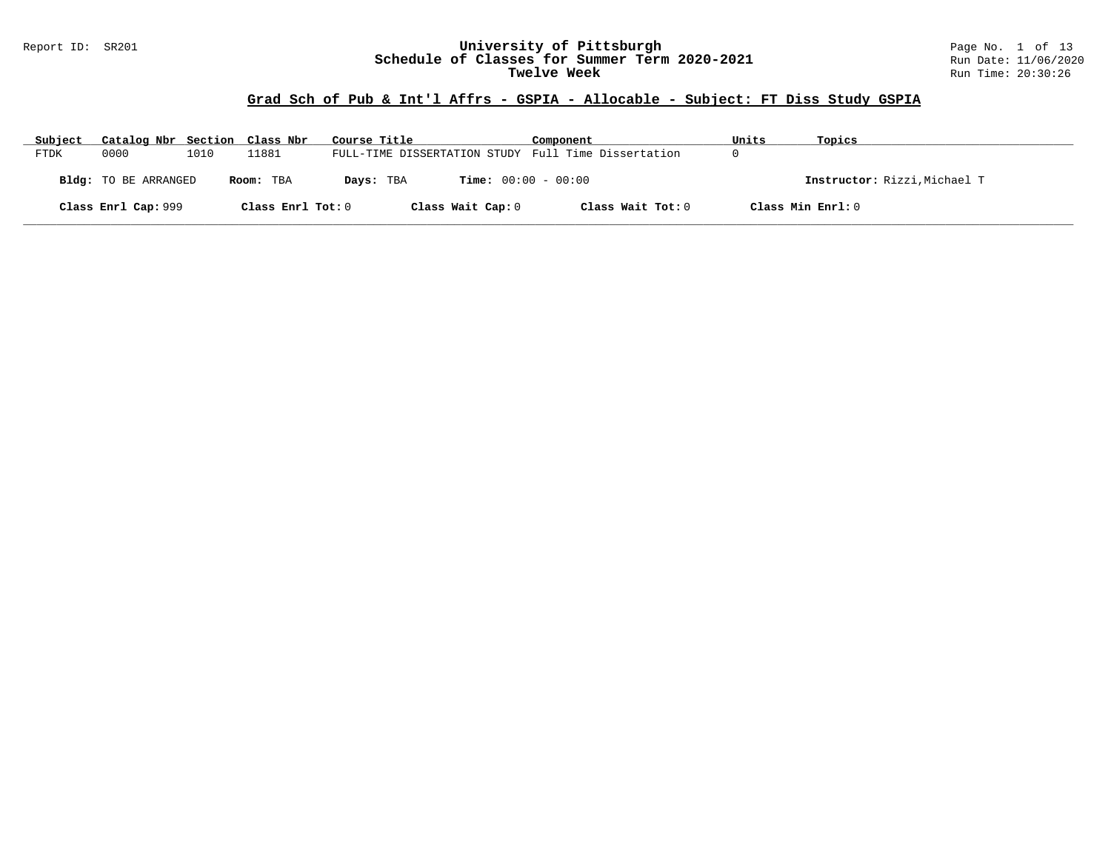#### Report ID: SR201 **University of Pittsburgh** Page No. 1 of 13 **Schedule of Classes for Summer Term 2020-2021** Run Date: 11/06/2020 **Twelve Week** Run Time: 20:30:26

# **Grad Sch of Pub & Int'l Affrs - GSPIA - Allocable - Subject: FT Diss Study GSPIA**

| Subject     | Catalog Nbr Section Class Nbr |      |                   | Course Title                                        | Component         | Units | Topics                       |
|-------------|-------------------------------|------|-------------------|-----------------------------------------------------|-------------------|-------|------------------------------|
| <b>FTDK</b> | 0000                          | 1010 | 11881             | FULL-TIME DISSERTATION STUDY Full Time Dissertation |                   |       |                              |
|             | <b>Bldg:</b> TO BE ARRANGED   |      | Room: TBA         | <b>Time:</b> $00:00 - 00:00$<br>Days: TBA           |                   |       | Instructor: Rizzi, Michael T |
|             | Class Enrl Cap: 999           |      | Class Enrl Tot: 0 | Class Wait Cap: 0                                   | Class Wait Tot: 0 |       | Class Min Enrl: 0            |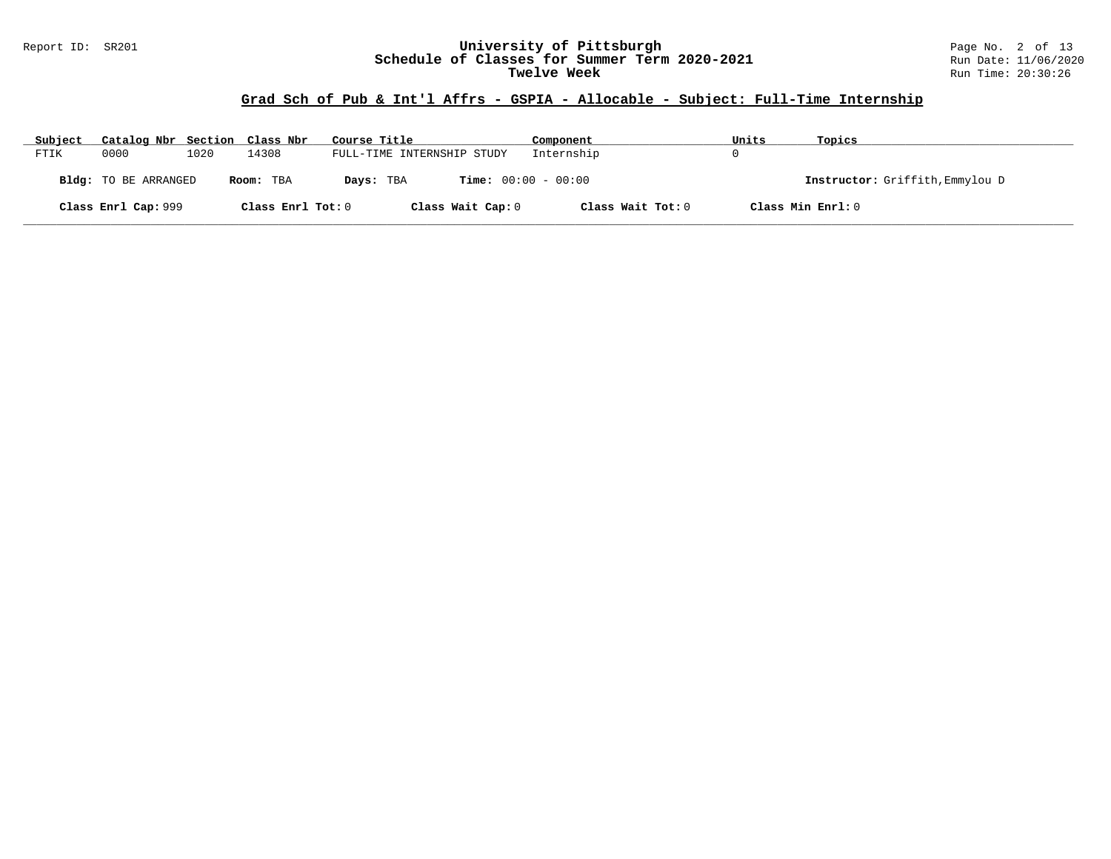#### Report ID: SR201 **University of Pittsburgh** Page No. 2 of 13 **Schedule of Classes for Summer Term 2020-2021** Run Date: 11/06/2020 **Twelve Week** Run Time: 20:30:26

# **Grad Sch of Pub & Int'l Affrs - GSPIA - Allocable - Subject: Full-Time Internship**

| Subject | Catalog Nbr Section Class Nbr |      |                   | Course Title                              | Component         | Units | Topics                          |
|---------|-------------------------------|------|-------------------|-------------------------------------------|-------------------|-------|---------------------------------|
| FTIK    | 0000                          | 1020 | 14308             | FULL-TIME INTERNSHIP STUDY                | Internship        |       |                                 |
|         | <b>Bldg:</b> TO BE ARRANGED   |      | Room: TBA         | <b>Time:</b> $00:00 - 00:00$<br>Days: TBA |                   |       | Instructor: Griffith, Emmylou D |
|         | Class Enrl Cap: 999           |      | Class Enrl Tot: 0 | Class Wait Cap: 0                         | Class Wait Tot: 0 |       | Class Min Enrl: 0               |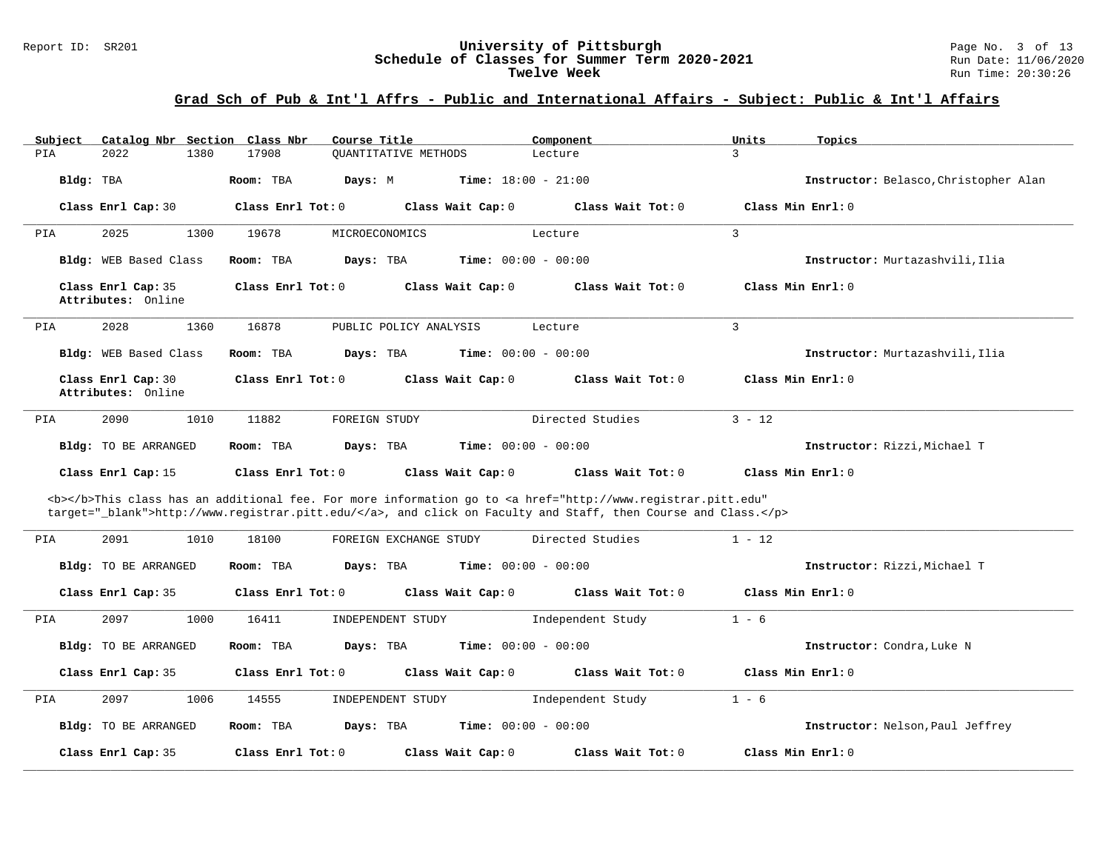#### Report ID: SR201 **University of Pittsburgh** Page No. 3 of 13 **Schedule of Classes for Summer Term 2020-2021** Run Date: 11/06/2020 **Twelve Week** Run Time: 20:30:26

| Catalog Nbr Section Class Nbr<br>Subject | Course Title                         | Component                                                                                                                                                                                                                          | Units<br>Topics                       |
|------------------------------------------|--------------------------------------|------------------------------------------------------------------------------------------------------------------------------------------------------------------------------------------------------------------------------------|---------------------------------------|
| 1380<br>PIA<br>2022                      | 17908<br><b>OUANTITATIVE METHODS</b> | Lecture                                                                                                                                                                                                                            | $\mathbf{R}$                          |
| Bldg: TBA                                | Room: TBA<br>Days: M                 | <b>Time:</b> $18:00 - 21:00$                                                                                                                                                                                                       | Instructor: Belasco, Christopher Alan |
| Class Enrl Cap: 30                       | Class Enrl Tot: 0                    | Class Wait Cap: 0<br>Class Wait Tot: 0                                                                                                                                                                                             | Class Min Enrl: 0                     |
| 2025<br>PIA<br>1300                      | 19678<br>MICROECONOMICS              | Lecture                                                                                                                                                                                                                            | $\overline{3}$                        |
| Bldg: WEB Based Class                    | Days: TBA<br>Room: TBA               | <b>Time:</b> $00:00 - 00:00$                                                                                                                                                                                                       | Instructor: Murtazashvili.Ilia        |
| Class Enrl Cap: 35<br>Attributes: Online | Class Enrl Tot: $0$                  | Class Wait Cap: 0<br>Class Wait $Tot: 0$                                                                                                                                                                                           | Class Min Enrl: 0                     |
| 2028<br>1360<br>PIA                      | 16878                                | PUBLIC POLICY ANALYSIS<br>Lecture                                                                                                                                                                                                  | $\overline{3}$                        |
| <b>Bldg:</b> WEB Based Class             | Days: TBA<br>Room: TBA               | <b>Time:</b> $00:00 - 00:00$                                                                                                                                                                                                       | Instructor: Murtazashvili, Ilia       |
| Class Enrl Cap: 30<br>Attributes: Online | Class Enrl Tot: 0                    | Class Wait Cap: 0<br>Class Wait Tot: 0                                                                                                                                                                                             | Class Min Enrl: 0                     |
| 2090<br>1010<br>PIA                      | 11882<br>FOREIGN STUDY               | Directed Studies                                                                                                                                                                                                                   | $3 - 12$                              |
| Bldg: TO BE ARRANGED                     | Days: TBA<br>Room: TBA               | <b>Time:</b> $00:00 - 00:00$                                                                                                                                                                                                       | Instructor: Rizzi. Michael T          |
| Class Enrl Cap: 15                       | Class Enrl Tot: $0$                  | Class Wait Cap: 0<br>Class Wait Tot: 0                                                                                                                                                                                             | Class Min Enrl: 0                     |
|                                          |                                      | <b></b> This class has an additional fee. For more information go to <a <br="" href="http://www.registrar.pitt.edu">target="_blank"&gt;http://www.registrar.pitt.edu/</a> , and click on Faculty and Staff, then Course and Class. |                                       |
| 2091<br>1010<br>PIA                      | 18100                                | Directed Studies<br>FOREIGN EXCHANGE STUDY                                                                                                                                                                                         | $1 - 12$                              |
| Bldg: TO BE ARRANGED                     | Room: TBA<br>Days: TBA               | <b>Time:</b> $00:00 - 00:00$                                                                                                                                                                                                       | Instructor: Rizzi, Michael T          |
| Class Enrl Cap: 35                       | Class Enrl Tot: 0                    | Class Wait Cap: 0<br>Class Wait Tot: 0                                                                                                                                                                                             | Class Min Enrl: 0                     |
| 1000<br>PIA<br>2097                      | 16411<br>INDEPENDENT STUDY           | Independent Study                                                                                                                                                                                                                  | $1 - 6$                               |
| Bldg: TO BE ARRANGED                     | Room: TBA<br>Days: TBA               | <b>Time:</b> $00:00 - 00:00$                                                                                                                                                                                                       | Instructor: Condra, Luke N            |
| Class Enrl Cap: 35                       | Class Enrl Tot: 0                    | Class Wait Cap: 0<br>Class Wait Tot: 0                                                                                                                                                                                             | Class Min Enrl: 0                     |
| PIA<br>2097<br>1006                      | 14555<br>INDEPENDENT STUDY           | Independent Study                                                                                                                                                                                                                  | $1 - 6$                               |
| Bldg: TO BE ARRANGED                     | Days: TBA<br>Room: TBA               | Time: $00:00 - 00:00$                                                                                                                                                                                                              | Instructor: Nelson, Paul Jeffrey      |
| Class Enrl Cap: 35                       | Class Enrl Tot: 0                    | Class Wait Cap: 0<br>Class Wait Tot: 0                                                                                                                                                                                             | Class Min Enrl: 0                     |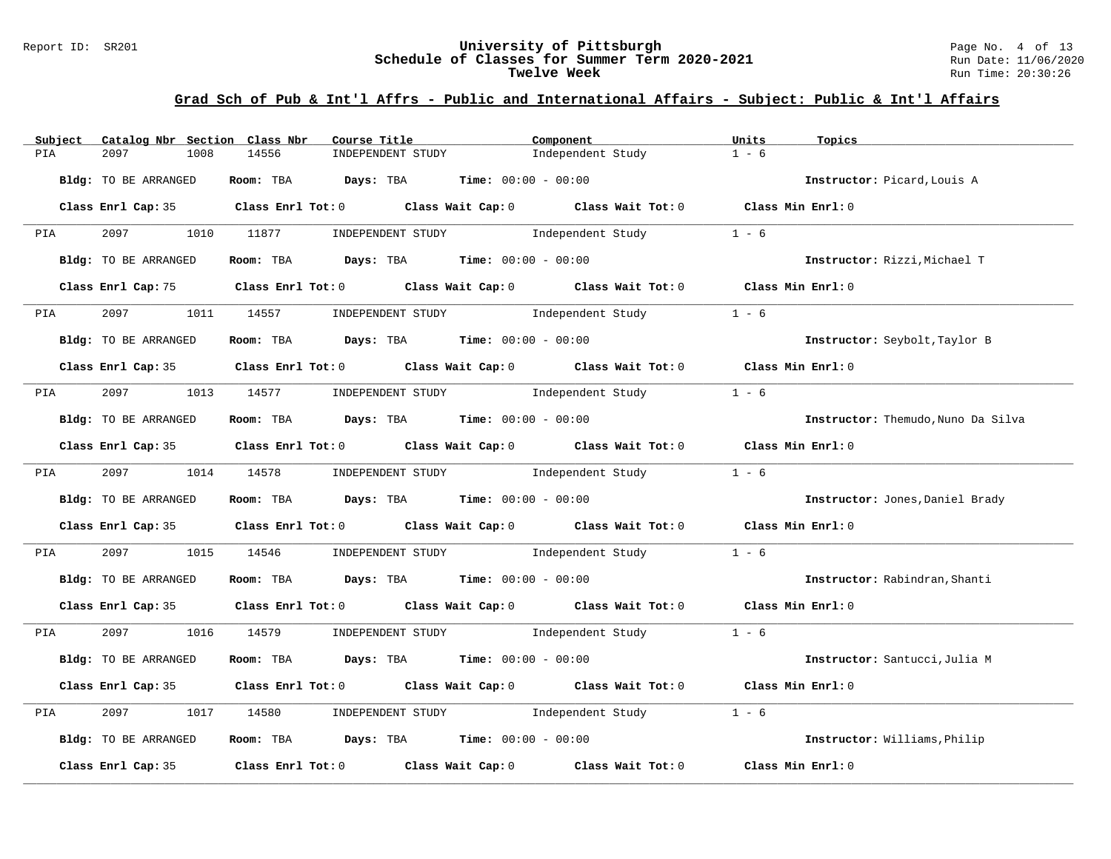#### Report ID: SR201 **University of Pittsburgh** Page No. 4 of 13 **Schedule of Classes for Summer Term 2020-2021** Run Date: 11/06/2020 **Twelve Week** Run Time: 20:30:26

| Catalog Nbr Section Class Nbr<br>Subject | Course Title                                                   | Component                                                                                  | Units<br>Topics                    |
|------------------------------------------|----------------------------------------------------------------|--------------------------------------------------------------------------------------------|------------------------------------|
| PIA<br>2097<br>1008                      | 14556<br>INDEPENDENT STUDY                                     | Independent Study                                                                          | $1 - 6$                            |
| Bldg: TO BE ARRANGED                     | Room: TBA $\rule{1em}{0.15mm}$ Days: TBA Time: $00:00 - 00:00$ |                                                                                            | Instructor: Picard, Louis A        |
|                                          |                                                                | Class Enrl Cap: 35 Class Enrl Tot: 0 Class Wait Cap: 0 Class Wait Tot: 0 Class Min Enrl: 0 |                                    |
| 2097<br><b>PIA</b>                       | 1010 11877<br>INDEPENDENT STUDY                                | Independent Study                                                                          | $1 - 6$                            |
| Bldg: TO BE ARRANGED                     | Room: TBA $Days:$ TBA $Time: 00:00 - 00:00$                    |                                                                                            | Instructor: Rizzi, Michael T       |
|                                          |                                                                | Class Enrl Cap: 75 Class Enrl Tot: 0 Class Wait Cap: 0 Class Wait Tot: 0 Class Min Enrl: 0 |                                    |
| PIA 2097                                 | 1011 14557<br>INDEPENDENT STUDY                                | Independent Study                                                                          | $1 - 6$                            |
| Bldg: TO BE ARRANGED                     | Room: TBA $\rule{1em}{0.15mm}$ Days: TBA Time: $00:00 - 00:00$ |                                                                                            | Instructor: Seybolt, Taylor B      |
|                                          |                                                                | Class Enrl Cap: 35 Class Enrl Tot: 0 Class Wait Cap: 0 Class Wait Tot: 0 Class Min Enrl: 0 |                                    |
|                                          | PIA 2097 1013 14577 INDEPENDENT STUDY Independent Study        |                                                                                            | $1 - 6$                            |
| Bldg: TO BE ARRANGED                     | Room: TBA $Days:$ TBA $Time: 00:00 - 00:00$                    |                                                                                            | Instructor: Themudo, Nuno Da Silva |
|                                          |                                                                | Class Enrl Cap: 35 Class Enrl Tot: 0 Class Wait Cap: 0 Class Wait Tot: 0 Class Min Enrl: 0 |                                    |
|                                          | PIA 2097 1014 14578 INDEPENDENT STUDY Independent Study        |                                                                                            | $1 - 6$                            |
| Bldg: TO BE ARRANGED                     | Room: TBA Days: TBA Time: $00:00 - 00:00$                      |                                                                                            | Instructor: Jones, Daniel Brady    |
|                                          |                                                                | Class Enrl Cap: 35 Class Enrl Tot: 0 Class Wait Cap: 0 Class Wait Tot: 0 Class Min Enrl: 0 |                                    |
| 2097<br>PIA                              |                                                                | 1015 14546 INDEPENDENT STUDY Independent Study                                             | $1 - 6$                            |
| Bldg: TO BE ARRANGED                     | Room: TBA $Days:$ TBA $Time: 00:00 - 00:00$                    |                                                                                            | Instructor: Rabindran, Shanti      |
|                                          |                                                                | Class Enrl Cap: 35 Class Enrl Tot: 0 Class Wait Cap: 0 Class Wait Tot: 0 Class Min Enrl: 0 |                                    |
| PIA 2097                                 |                                                                | 1016 14579 INDEPENDENT STUDY Independent Study 1 - 6                                       |                                    |
| Bldg: TO BE ARRANGED                     | Room: TBA $Days:$ TBA $Time: 00:00 - 00:00$                    |                                                                                            | Instructor: Santucci, Julia M      |
|                                          |                                                                | Class Enrl Cap: 35 Class Enrl Tot: 0 Class Wait Cap: 0 Class Wait Tot: 0 Class Min Enrl: 0 |                                    |
| 2097<br>PIA                              | 1017 14580 INDEPENDENT STUDY Independent Study                 |                                                                                            | $1 - 6$                            |
| Bldg: TO BE ARRANGED                     | Room: TBA $Days:$ TBA $Time: 00:00 - 00:00$                    |                                                                                            | Instructor: Williams, Philip       |
| Class Enrl Cap: 35                       |                                                                | Class Enrl Tot: $0$ Class Wait Cap: $0$ Class Wait Tot: $0$                                | Class Min Enrl: 0                  |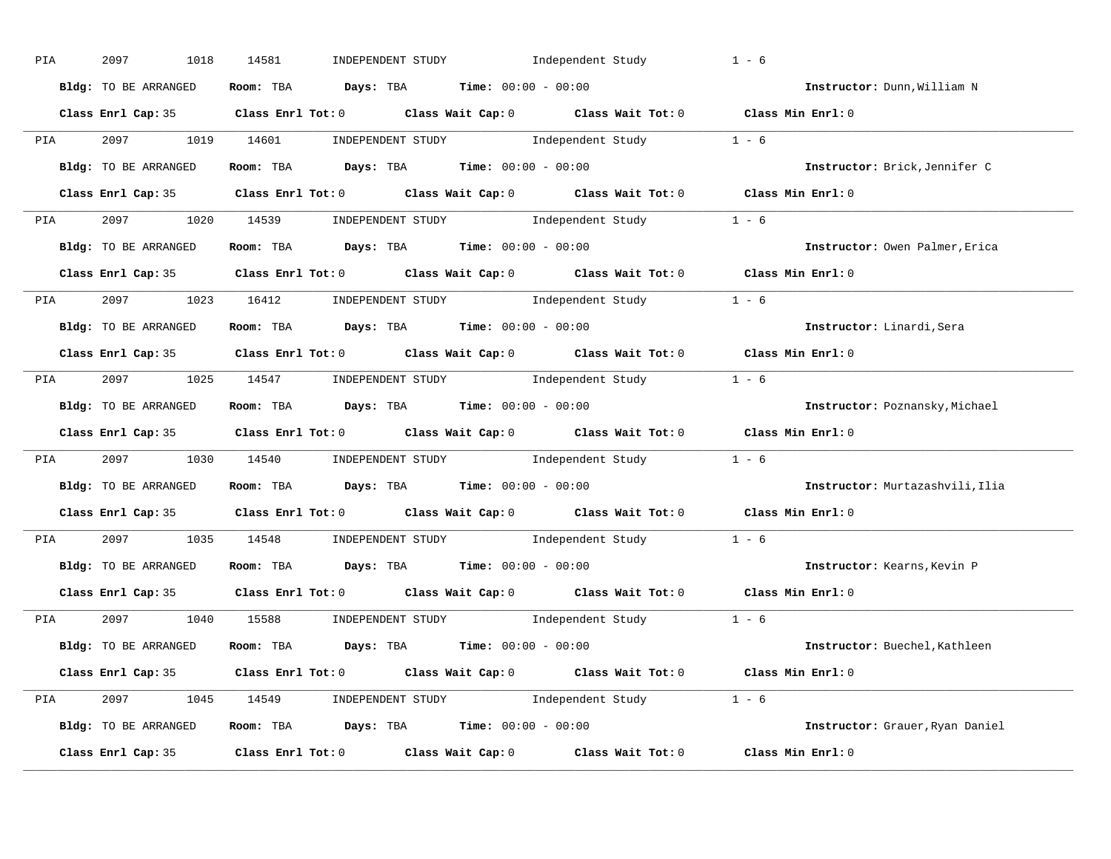| PIA | 2097<br>1018         | 14581<br>INDEPENDENT STUDY 1ndependent Study                                               | $1 - 6$                         |
|-----|----------------------|--------------------------------------------------------------------------------------------|---------------------------------|
|     | Bldg: TO BE ARRANGED | Room: TBA $Days:$ TBA $Time: 00:00 - 00:00$                                                | Instructor: Dunn, William N     |
|     |                      | Class Enrl Cap: 35 Class Enrl Tot: 0 Class Wait Cap: 0 Class Wait Tot: 0 Class Min Enrl: 0 |                                 |
|     |                      | PIA 2097 1019 14601 INDEPENDENT STUDY Independent Study 1 - 6                              |                                 |
|     | Bldg: TO BE ARRANGED | Room: TBA $\rule{1em}{0.15mm}$ Days: TBA Time: $00:00 - 00:00$                             | Instructor: Brick, Jennifer C   |
|     |                      | Class Enrl Cap: 35 Class Enrl Tot: 0 Class Wait Cap: 0 Class Wait Tot: 0 Class Min Enrl: 0 |                                 |
|     |                      | PIA 2097 1020 14539 INDEPENDENT STUDY Independent Study 1 - 6                              |                                 |
|     |                      | Bldg: TO BE ARRANGED ROOM: TBA Days: TBA Time: 00:00 - 00:00                               | Instructor: Owen Palmer, Erica  |
|     |                      | Class Enrl Cap: 35 Class Enrl Tot: 0 Class Wait Cap: 0 Class Wait Tot: 0 Class Min Enrl: 0 |                                 |
|     |                      | PIA 2097 1023 16412 INDEPENDENT STUDY Independent Study 1 - 6                              |                                 |
|     | Bldg: TO BE ARRANGED | Room: TBA $\rule{1em}{0.15mm}$ Days: TBA $\rule{1.5mm}{0.15mm}$ Time: $00:00 - 00:00$      | Instructor: Linardi, Sera       |
|     |                      | Class Enrl Cap: 35 Class Enrl Tot: 0 Class Wait Cap: 0 Class Wait Tot: 0 Class Min Enrl: 0 |                                 |
|     |                      | PIA 2097 1025 14547 INDEPENDENT STUDY Independent Study 1 - 6                              |                                 |
|     | Bldg: TO BE ARRANGED | Room: TBA $\rule{1em}{0.15mm}$ Days: TBA Time: $00:00 - 00:00$                             | Instructor: Poznansky, Michael  |
|     |                      | Class Enrl Cap: 35 Class Enrl Tot: 0 Class Wait Cap: 0 Class Wait Tot: 0 Class Min Enrl: 0 |                                 |
|     |                      | PIA 2097 1030 14540 INDEPENDENT STUDY Independent Study 1 - 6                              |                                 |
|     | Bldg: TO BE ARRANGED | Room: TBA $Days:$ TBA Time: $00:00 - 00:00$                                                | Instructor: Murtazashvili, Ilia |
|     |                      | Class Enrl Cap: 35 Class Enrl Tot: 0 Class Wait Cap: 0 Class Wait Tot: 0 Class Min Enrl: 0 |                                 |
| PIA |                      | 2097 1035 14548 INDEPENDENT STUDY Independent Study 1 - 6                                  |                                 |
|     | Bldg: TO BE ARRANGED | Room: TBA $\rule{1em}{0.15mm}$ Days: TBA Time: $00:00 - 00:00$                             | Instructor: Kearns, Kevin P     |
|     | Class Enrl Cap: 35   | Class Enrl Tot: $0$ Class Wait Cap: $0$ Class Wait Tot: $0$                                | Class Min Enrl: 0               |
|     |                      | PIA 2097 1040 15588 INDEPENDENT STUDY Independent Study 1 - 6                              |                                 |
|     |                      | Bldg: TO BE ARRANGED Room: TBA Days: TBA Time: 00:00 - 00:00                               | Instructor: Buechel, Kathleen   |
|     |                      | Class Enrl Cap: 35 Class Enrl Tot: 0 Class Wait Cap: 0 Class Wait Tot: 0 Class Min Enrl: 0 |                                 |
|     |                      | PIA 2097 1045 14549 INDEPENDENT STUDY Independent Study 1 - 6                              |                                 |
|     |                      | Bldg: TO BE ARRANGED Room: TBA Days: TBA Time: 00:00 - 00:00                               | Instructor: Grauer, Ryan Daniel |
|     |                      | Class Enrl Cap: 35 Class Enrl Tot: 0 Class Wait Cap: 0 Class Wait Tot: 0 Class Min Enrl: 0 |                                 |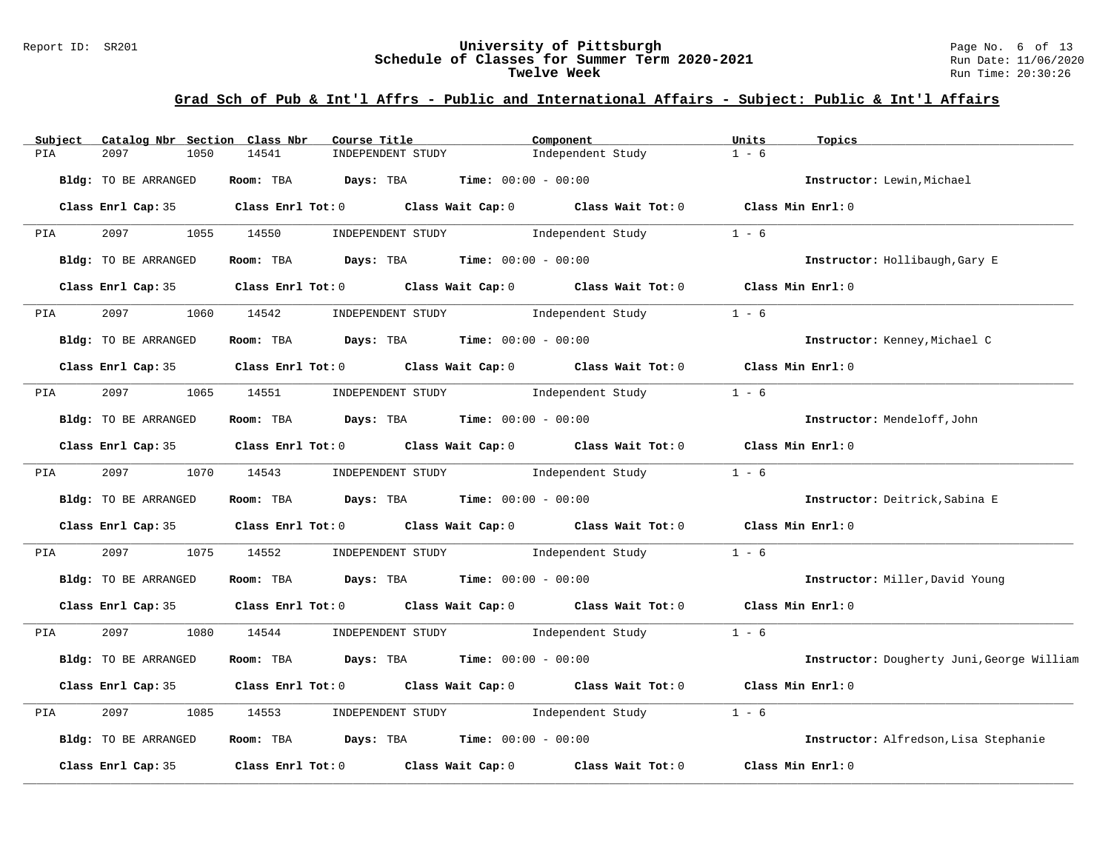#### Report ID: SR201 **University of Pittsburgh** Page No. 6 of 13 **Schedule of Classes for Summer Term 2020-2021** Run Date: 11/06/2020 **Twelve Week** Run Time: 20:30:26

| Catalog Nbr Section Class Nbr<br>Subject | Course Title                                                             | Component                                                                                  | Units<br>Topics                            |
|------------------------------------------|--------------------------------------------------------------------------|--------------------------------------------------------------------------------------------|--------------------------------------------|
| PIA<br>2097<br>1050                      | 14541<br>INDEPENDENT STUDY                                               | Independent Study                                                                          | $1 - 6$                                    |
| Bldg: TO BE ARRANGED                     | Room: TBA<br><b>Days:</b> TBA <b>Time:</b> $00:00 - 00:00$               |                                                                                            | Instructor: Lewin, Michael                 |
|                                          |                                                                          | Class Enrl Cap: 35 Class Enrl Tot: 0 Class Wait Cap: 0 Class Wait Tot: 0 Class Min Enrl: 0 |                                            |
| 2097<br>PIA                              | 1055 14550<br>INDEPENDENT STUDY                                          | Independent Study                                                                          | $1 - 6$                                    |
| Bldg: TO BE ARRANGED                     | <b>Days:</b> TBA <b>Time:</b> $00:00 - 00:00$<br>Room: TBA               |                                                                                            | Instructor: Hollibaugh, Gary E             |
|                                          | Class Enrl Cap: 35 Class Enrl Tot: 0 Class Wait Cap: 0 Class Wait Tot: 0 |                                                                                            | Class Min Enrl: 0                          |
| 2097<br><b>PIA</b>                       | 1060 14542                                                               | INDEPENDENT STUDY Thdependent Study                                                        | $1 - 6$                                    |
| Bldg: TO BE ARRANGED                     | Room: TBA $\rule{1em}{0.15mm}$ Days: TBA Time: $00:00 - 00:00$           |                                                                                            | Instructor: Kenney, Michael C              |
|                                          |                                                                          | Class Enrl Cap: 35 Class Enrl Tot: 0 Class Wait Cap: 0 Class Wait Tot: 0 Class Min Enrl: 0 |                                            |
| 2097<br><b>PIA</b>                       | 1065 14551                                                               | INDEPENDENT STUDY 1ndependent Study                                                        | $1 - 6$                                    |
| Bldg: TO BE ARRANGED                     | Room: TBA $Days:$ TBA Time: $00:00 - 00:00$                              |                                                                                            | Instructor: Mendeloff, John                |
|                                          |                                                                          | Class Enrl Cap: 35 Class Enrl Tot: 0 Class Wait Cap: 0 Class Wait Tot: 0 Class Min Enrl: 0 |                                            |
| 2097 — 2007<br><b>PIA</b>                | 1070 14543                                                               | INDEPENDENT STUDY DRO Independent Study                                                    | $1 - 6$                                    |
| Bldg: TO BE ARRANGED                     | Room: TBA $Days:$ TBA $Time: 00:00 - 00:00$                              |                                                                                            | Instructor: Deitrick, Sabina E             |
|                                          |                                                                          | Class Enrl Cap: 35 Class Enrl Tot: 0 Class Wait Cap: 0 Class Wait Tot: 0 Class Min Enrl: 0 |                                            |
| 2097<br>PIA<br>1075                      | 14552                                                                    | INDEPENDENT STUDY 1ndependent Study                                                        | $1 - 6$                                    |
| Bldg: TO BE ARRANGED                     | Room: TBA $Days:$ TBA $Time: 00:00 - 00:00$                              |                                                                                            | Instructor: Miller, David Young            |
|                                          |                                                                          | Class Enrl Cap: 35 Class Enrl Tot: 0 Class Wait Cap: 0 Class Wait Tot: 0 Class Min Enrl: 0 |                                            |
| 2097<br>PIA                              | 1080 14544                                                               | INDEPENDENT STUDY 1ndependent Study                                                        | $1 - 6$                                    |
| Bldg: TO BE ARRANGED                     | Room: TBA $Days:$ TBA $Time: 00:00 - 00:00$                              |                                                                                            | Instructor: Dougherty Juni, George William |
|                                          | Class Enrl Cap: 35 Class Enrl Tot: 0 Class Wait Cap: 0 Class Wait Tot: 0 |                                                                                            | Class Min Enrl: 0                          |
| 2097<br>1085<br>PIA                      | INDEPENDENT STUDY<br>14553                                               | Independent Study                                                                          | $1 - 6$                                    |
| Bldg: TO BE ARRANGED                     | Room: TBA $Days:$ TBA $Time: 00:00 - 00:00$                              |                                                                                            | Instructor: Alfredson, Lisa Stephanie      |
| Class Enrl Cap: 35                       | Class Enrl Tot: $0$ Class Wait Cap: $0$                                  | Class Wait Tot: 0                                                                          | Class Min Enrl: 0                          |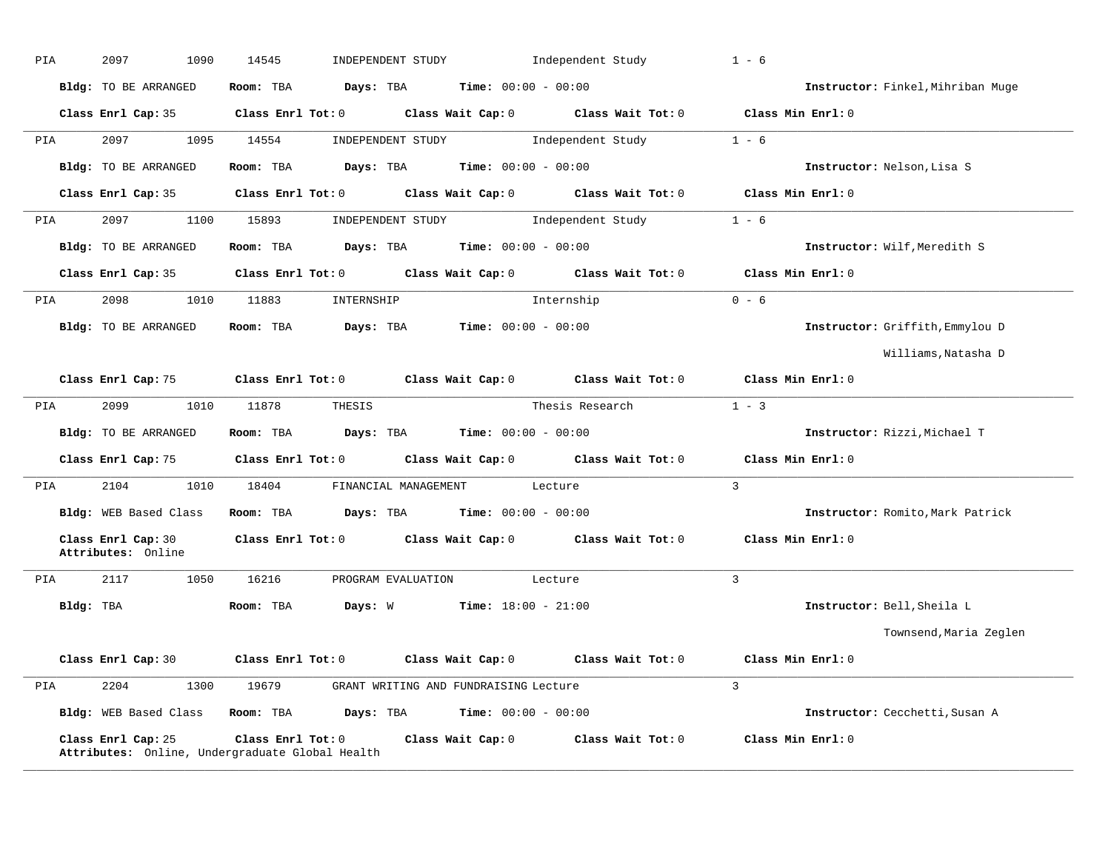| PIA       | 2097<br>1090                             | 14545<br>INDEPENDENT STUDY                            | Independent Study                   | $1 - 6$                           |
|-----------|------------------------------------------|-------------------------------------------------------|-------------------------------------|-----------------------------------|
|           | Bldg: TO BE ARRANGED                     | Room: TBA<br>Days: TBA                                | <b>Time:</b> $00:00 - 00:00$        | Instructor: Finkel, Mihriban Muge |
|           | Class Enrl Cap: 35                       | Class Wait Cap: 0<br>$Class$ $Enr1$ $Tot: 0$          | Class Wait Tot: 0                   | Class Min Enrl: 0                 |
| PIA       | 2097<br>1095                             | 14554<br>INDEPENDENT STUDY                            | Independent Study                   | $1 - 6$                           |
|           | Bldg: TO BE ARRANGED                     | Room: TBA<br>Days: TBA                                | <b>Time:</b> $00:00 - 00:00$        | Instructor: Nelson, Lisa S        |
|           | Class Enrl Cap: 35                       | $Class$ $Enrl$ $Tot: 0$                               | Class Wait Cap: 0 Class Wait Tot: 0 | Class Min Enrl: 0                 |
| PIA       | 2097<br>1100                             | 15893<br>INDEPENDENT STUDY                            | Independent Study                   | $1 - 6$                           |
|           | Bldg: TO BE ARRANGED                     | Room: TBA<br>Days: TBA                                | <b>Time:</b> $00:00 - 00:00$        | Instructor: Wilf, Meredith S      |
|           | Class Enrl Cap: 35                       | $Class$ $Enr1$ $Tot: 0$                               | Class Wait Cap: 0 Class Wait Tot: 0 | Class Min Enrl: 0                 |
| PIA       | 2098<br>1010                             | 11883<br>INTERNSHIP                                   | Internship                          | $0 - 6$                           |
|           | <b>Bldg:</b> TO BE ARRANGED              | Days: TBA<br>Room: TBA                                | <b>Time:</b> $00:00 - 00:00$        | Instructor: Griffith, Emmylou D   |
|           |                                          |                                                       |                                     | Williams, Natasha D               |
|           | Class Enrl Cap: 75                       | Class Enrl Tot: 0 Class Wait Cap: 0 Class Wait Tot: 0 |                                     | Class Min Enrl: 0                 |
| PIA       | 2099<br>1010                             | 11878<br>THESIS                                       | Thesis Research                     | $1 - 3$                           |
|           | Bldg: TO BE ARRANGED                     | Room: TBA<br>Days: TBA                                | <b>Time:</b> $00:00 - 00:00$        | Instructor: Rizzi, Michael T      |
|           | Class Enrl Cap: 75                       | Class Enrl Tot: 0                                     | Class Wait Cap: 0 Class Wait Tot: 0 | Class Min Enrl: $0$               |
| PIA       | 2104<br>1010                             | 18404<br>FINANCIAL MANAGEMENT                         | Lecture                             | $\overline{3}$                    |
|           | Bldg: WEB Based Class                    | Room: TBA<br>Days: TBA                                | $Time: 00:00 - 00:00$               | Instructor: Romito, Mark Patrick  |
|           | Class Enrl Cap: 30<br>Attributes: Online | $Class$ $Enr1$ $Tot: 0$                               | Class Wait Cap: 0 Class Wait Tot: 0 | Class Min Enrl: 0                 |
| PIA       | 2117<br>1050                             | 16216<br>PROGRAM EVALUATION                           | Lecture                             | $\overline{3}$                    |
| Bldg: TBA |                                          | Days: W<br>Room: TBA                                  | <b>Time:</b> $18:00 - 21:00$        | Instructor: Bell, Sheila L        |
|           |                                          |                                                       |                                     | Townsend, Maria Zeglen            |
|           | Class Enrl Cap: 30                       | Class Enrl Tot: 0<br>Class Wait Cap: 0                | Class Wait Tot: 0                   | Class Min Enrl: 0                 |
| PIA       | 2204<br>1300                             | 19679<br>GRANT WRITING AND FUNDRAISING Lecture        |                                     | $\mathbf{3}$                      |
|           | Bldg: WEB Based Class                    | Room: TBA<br>Days: TBA                                | <b>Time:</b> $00:00 - 00:00$        | Instructor: Cecchetti, Susan A    |
|           |                                          |                                                       |                                     |                                   |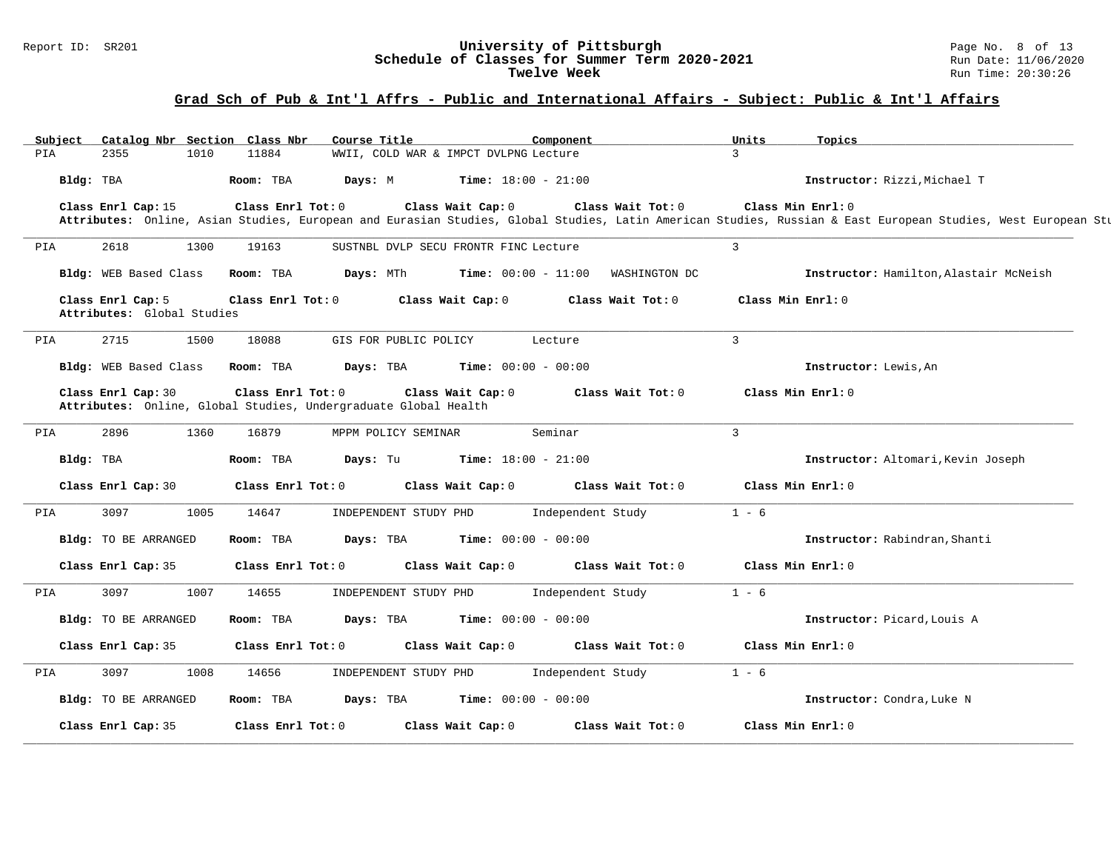# Report ID: SR201 **1988 Chedule of Classes for Summer Term 2020-2021** Page No. 8 of 13<br>**Schedule of Classes for Summer Term 2020-2021** Run Date: 11/06/2020 Schedule of Classes for Summer Term 2020-2021<br>Twelve Week

| Subject   | Catalog Nbr Section Class Nbr                   |      |                   | Course Title                                                                               |                                                           | Component                    |                   | Units             | Topics                                                                                                                                                                            |
|-----------|-------------------------------------------------|------|-------------------|--------------------------------------------------------------------------------------------|-----------------------------------------------------------|------------------------------|-------------------|-------------------|-----------------------------------------------------------------------------------------------------------------------------------------------------------------------------------|
| PIA       | 2355                                            | 1010 | 11884             |                                                                                            | WWII, COLD WAR & IMPCT DVLPNG Lecture                     |                              |                   | $\mathcal{L}$     |                                                                                                                                                                                   |
| Bldg: TBA |                                                 |      | Room: TBA         | Davs: M                                                                                    |                                                           | <b>Time:</b> $18:00 - 21:00$ |                   |                   | Instructor: Rizzi, Michael T                                                                                                                                                      |
|           | Class Enrl Cap: 15                              |      | Class Enrl Tot: 0 |                                                                                            | Class Wait Cap: 0                                         |                              | Class Wait Tot: 0 |                   | Class Min Enrl: 0<br>Attributes: Online, Asian Studies, European and Eurasian Studies, Global Studies, Latin American Studies, Russian & East European Studies, West European Stu |
| PIA       | 2618                                            | 1300 | 19163             |                                                                                            | SUSTNBL DVLP SECU FRONTR FINC Lecture                     |                              |                   | $\overline{3}$    |                                                                                                                                                                                   |
|           | Bldg: WEB Based Class                           |      | Room: TBA         |                                                                                            | <b>Days:</b> MTh <b>Time:</b> 00:00 - 11:00 WASHINGTON DC |                              |                   |                   | Instructor: Hamilton, Alastair McNeish                                                                                                                                            |
|           | Class Enrl Cap: 5<br>Attributes: Global Studies |      |                   | Class Enrl Tot: 0 Class Wait Cap: 0                                                        |                                                           |                              | Class Wait Tot: 0 |                   | Class Min Enrl: 0                                                                                                                                                                 |
| PIA       | 2715                                            | 1500 | 18088             | GIS FOR PUBLIC POLICY                                                                      |                                                           | Lecture                      |                   | $\mathbf{3}$      |                                                                                                                                                                                   |
|           | Bldg: WEB Based Class                           |      | Room: TBA         | Days: TBA                                                                                  | <b>Time:</b> $00:00 - 00:00$                              |                              |                   |                   | Instructor: Lewis, An                                                                                                                                                             |
|           | Class Enrl Cap: 30                              |      |                   | $Class$ $Enrl$ $Tot: 0$<br>Attributes: Online, Global Studies, Undergraduate Global Health | Class Wait Cap: 0                                         |                              | Class Wait Tot: 0 |                   | Class Min Enrl: 0                                                                                                                                                                 |
| PIA       | 2896                                            | 1360 | 16879             | MPPM POLICY SEMINAR                                                                        |                                                           | Seminar                      |                   | $\overline{3}$    |                                                                                                                                                                                   |
|           | Bldg: TBA                                       |      | Room: TBA         | Days: Tu                                                                                   | $Time: 18:00 - 21:00$                                     |                              |                   |                   | Instructor: Altomari, Kevin Joseph                                                                                                                                                |
|           | Class Enrl Cap: 30                              |      |                   | $Class$ $Enrl$ $Tot: 0$                                                                    | Class Wait Cap: 0 Class Wait Tot: 0                       |                              |                   |                   | Class Min Enrl: 0                                                                                                                                                                 |
| PIA       | 3097                                            | 1005 | 14647             | INDEPENDENT STUDY PHD                                                                      |                                                           | Independent Study            |                   | $1 - 6$           |                                                                                                                                                                                   |
|           | <b>Bldg:</b> TO BE ARRANGED                     |      | Room: TBA         |                                                                                            | <b>Days:</b> TBA <b>Time:</b> $00:00 - 00:00$             |                              |                   |                   | Instructor: Rabindran, Shanti                                                                                                                                                     |
|           | Class Enrl Cap: 35                              |      |                   | $Class$ $Enr1$ $Tot: 0$                                                                    | Class Wait Cap: 0 Class Wait Tot: 0                       |                              |                   |                   | Class Min Enrl: 0                                                                                                                                                                 |
| PIA       | 3097                                            | 1007 | 14655             |                                                                                            | INDEPENDENT STUDY PHD 1ndependent Study                   |                              |                   | $1 - 6$           |                                                                                                                                                                                   |
|           | Bldg: TO BE ARRANGED                            |      | Room: TBA         |                                                                                            | <b>Days:</b> TBA <b>Time:</b> $00:00 - 00:00$             |                              |                   |                   | Instructor: Picard, Louis A                                                                                                                                                       |
|           | Class Enrl Cap: 35                              |      |                   | $Class$ $Enr1$ $Tot: 0$                                                                    | Class Wait Cap: 0 Class Wait Tot: 0                       |                              |                   | Class Min Enrl: 0 |                                                                                                                                                                                   |
| PIA       | 3097                                            | 1008 | 14656             |                                                                                            | INDEPENDENT STUDY PHD Independent Study                   |                              |                   | $1 - 6$           |                                                                                                                                                                                   |
|           | Bldg: TO BE ARRANGED                            |      | Room: TBA         |                                                                                            | <b>Days:</b> TBA <b>Time:</b> $00:00 - 00:00$             |                              |                   |                   | Instructor: Condra, Luke N                                                                                                                                                        |
|           | Class Enrl Cap: 35                              |      | Class Enrl Tot: 0 |                                                                                            | Class Wait Cap: 0                                         |                              | Class Wait Tot: 0 |                   | Class Min Enrl: 0                                                                                                                                                                 |
|           |                                                 |      |                   |                                                                                            |                                                           |                              |                   |                   |                                                                                                                                                                                   |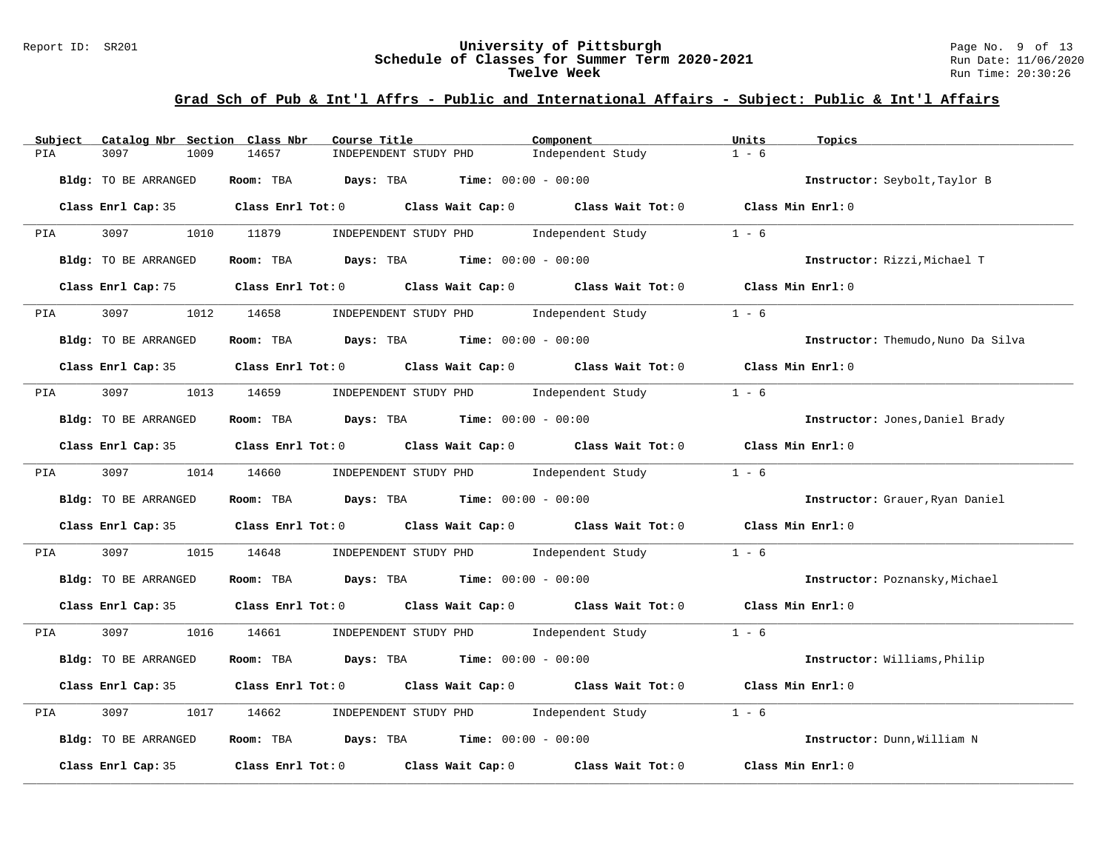#### Report ID: SR201 **University of Pittsburgh** Page No. 9 of 13 **Schedule of Classes for Summer Term 2020-2021** Run Date: 11/06/2020 **Twelve Week** Run Time: 20:30:26

| Catalog Nbr Section Class Nbr<br>Subject | Component<br>Course Title                                                                           | Units                        | Topics                             |
|------------------------------------------|-----------------------------------------------------------------------------------------------------|------------------------------|------------------------------------|
| 3097<br>1009<br>PIA                      | 14657<br>INDEPENDENT STUDY PHD                                                                      | $1 - 6$<br>Independent Study |                                    |
| Bldg: TO BE ARRANGED                     | Room: TBA<br><b>Days:</b> TBA <b>Time:</b> $00:00 - 00:00$                                          |                              | Instructor: Seybolt, Taylor B      |
|                                          | Class Enrl Cap: 35 Class Enrl Tot: 0 Class Wait Cap: 0 Class Wait Tot: 0 Class Min Enrl: 0          |                              |                                    |
| 3097 300<br>PIA                          | 1010 11879<br>INDEPENDENT STUDY PHD                                                                 | Independent Study<br>$1 - 6$ |                                    |
| Bldg: TO BE ARRANGED                     | Room: TBA $Days:$ TBA $Time: 00:00 - 00:00$                                                         |                              | Instructor: Rizzi, Michael T       |
|                                          | Class Enrl Cap: 75 Class Enrl Tot: 0 Class Wait Cap: 0 Class Wait Tot: 0 Class Min Enrl: 0          |                              |                                    |
| 3097<br><b>PIA</b>                       | 1012 14658<br>INDEPENDENT STUDY PHD Independent Study                                               | $1 - 6$                      |                                    |
| Bldg: TO BE ARRANGED                     | Room: TBA $Days:$ TBA $Time: 00:00 - 00:00$                                                         |                              | Instructor: Themudo, Nuno Da Silva |
|                                          | Class Enrl Cap: 35 $\qquad$ Class Enrl Tot: 0 $\qquad$ Class Wait Cap: 0 $\qquad$ Class Wait Tot: 0 |                              | Class Min Enrl: 0                  |
| PIA 3097                                 | 1013 14659 INDEPENDENT STUDY PHD Independent Study                                                  | $1 - 6$                      |                                    |
| Bldg: TO BE ARRANGED                     | Room: TBA $\rule{1em}{0.15mm}$ Days: TBA $\rule{1.5mm}{0.15mm}$ Time: $00:00 - 00:00$               |                              | Instructor: Jones, Daniel Brady    |
|                                          | Class Enrl Cap: 35 Class Enrl Tot: 0 Class Wait Cap: 0 Class Wait Tot: 0 Class Min Enrl: 0          |                              |                                    |
| PIA 3097                                 | 1014 14660<br>INDEPENDENT STUDY PHD Independent Study                                               | $1 - 6$                      |                                    |
| Bldg: TO BE ARRANGED                     | Room: TBA $Days:$ TBA $Time: 00:00 - 00:00$                                                         |                              | Instructor: Grauer, Ryan Daniel    |
|                                          | Class Enrl Cap: 35 Class Enrl Tot: 0 Class Wait Cap: 0 Class Wait Tot: 0 Class Min Enrl: 0          |                              |                                    |
| 3097<br>PIA<br>1015                      | 14648<br>INDEPENDENT STUDY PHD Independent Study                                                    | $1 - 6$                      |                                    |
| Bldg: TO BE ARRANGED                     | Room: TBA $\rule{1em}{0.15mm}$ Days: TBA Time: $00:00 - 00:00$                                      |                              | Instructor: Poznansky, Michael     |
|                                          | Class Enrl Cap: 35 Class Enrl Tot: 0 Class Wait Cap: 0 Class Wait Tot: 0 Class Min Enrl: 0          |                              |                                    |
| 3097 300<br>PIA                          | 1016 14661 INDEPENDENT STUDY PHD Independent Study 1 - 6                                            |                              |                                    |
| Bldg: TO BE ARRANGED                     | Room: TBA $Days:$ TBA $Time: 00:00 - 00:00$                                                         |                              | Instructor: Williams, Philip       |
|                                          | Class Enrl Cap: 35 Class Enrl Tot: 0 Class Wait Cap: 0 Class Wait Tot: 0 Class Min Enrl: 0          |                              |                                    |
| 3097<br>PIA<br>1017                      | 14662<br>INDEPENDENT STUDY PHD Independent Study                                                    | $1 - 6$                      |                                    |
| Bldg: TO BE ARRANGED                     | Room: TBA $Days:$ TBA $Time: 00:00 - 00:00$                                                         |                              | Instructor: Dunn, William N        |
| Class Enrl Cap: 35                       | Class Enrl Tot: $0$ Class Wait Cap: $0$ Class Wait Tot: $0$                                         |                              | Class Min Enrl: 0                  |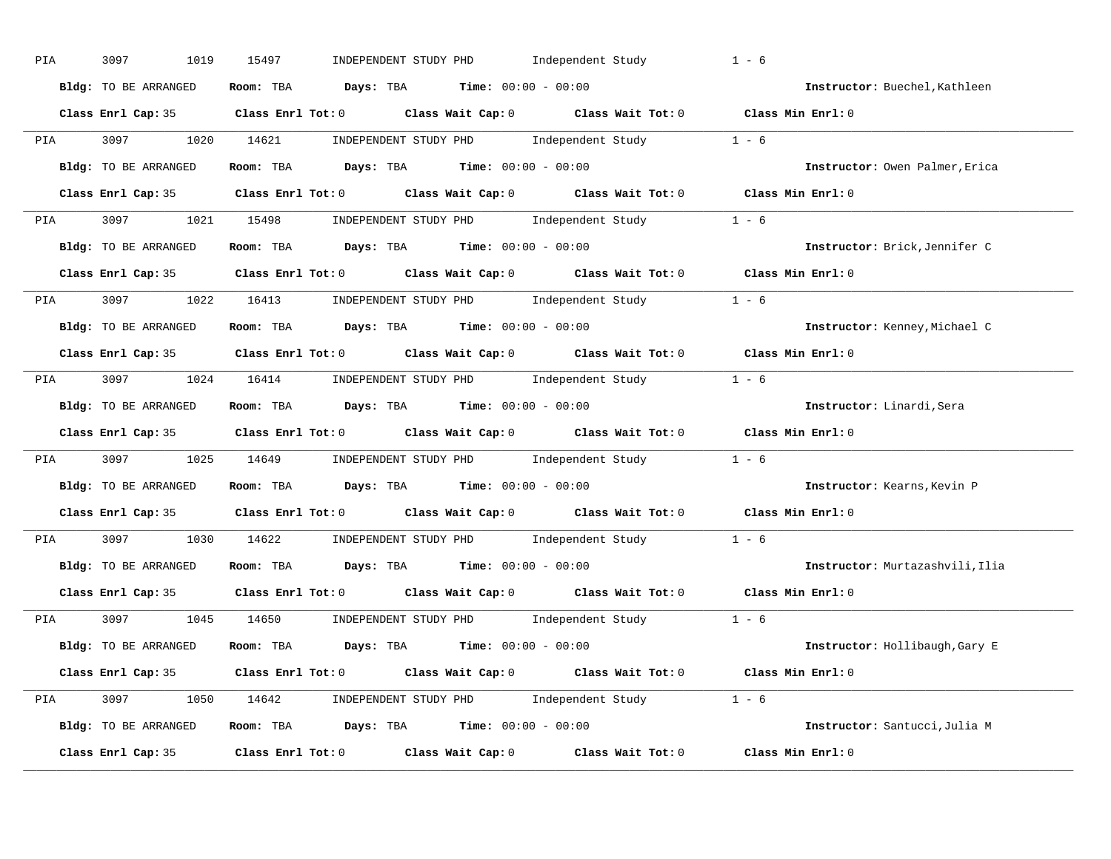| PIA        | 3097<br>1019         | INDEPENDENT STUDY PHD Independent Study<br>15497                                           | $1 - 6$                         |
|------------|----------------------|--------------------------------------------------------------------------------------------|---------------------------------|
|            | Bldg: TO BE ARRANGED | Room: TBA $Days:$ TBA $Time: 00:00 - 00:00$                                                | Instructor: Buechel, Kathleen   |
|            |                      | Class Enrl Cap: 35 Class Enrl Tot: 0 Class Wait Cap: 0 Class Wait Tot: 0 Class Min Enrl: 0 |                                 |
|            |                      | PIA 3097 1020 14621 INDEPENDENT STUDY PHD Independent Study 1 - 6                          |                                 |
|            | Bldg: TO BE ARRANGED | Room: TBA $\rule{1em}{0.15mm}$ Days: TBA Time: $00:00 - 00:00$                             | Instructor: Owen Palmer, Erica  |
|            |                      | Class Enrl Cap: 35 Class Enrl Tot: 0 Class Wait Cap: 0 Class Wait Tot: 0 Class Min Enrl: 0 |                                 |
|            |                      | PIA 3097 1021 15498 INDEPENDENT STUDY PHD Independent Study 1 - 6                          |                                 |
|            |                      | Bldg: TO BE ARRANGED ROOM: TBA Days: TBA Time: 00:00 - 00:00                               | Instructor: Brick, Jennifer C   |
|            |                      | Class Enrl Cap: 35 Class Enrl Tot: 0 Class Wait Cap: 0 Class Wait Tot: 0 Class Min Enrl: 0 |                                 |
|            |                      | PIA 3097 1022 16413 INDEPENDENT STUDY PHD Independent Study 1 - 6                          |                                 |
|            | Bldg: TO BE ARRANGED | Room: TBA $\rule{1em}{0.15mm}$ Days: TBA $\rule{1.5mm}{0.15mm}$ Time: $00:00 - 00:00$      | Instructor: Kenney, Michael C   |
|            |                      | Class Enrl Cap: 35 Class Enrl Tot: 0 Class Wait Cap: 0 Class Wait Tot: 0 Class Min Enrl: 0 |                                 |
|            |                      | PIA 3097 1024 16414 INDEPENDENT STUDY PHD Independent Study 1 - 6                          |                                 |
|            | Bldg: TO BE ARRANGED | Room: TBA $\rule{1em}{0.15mm}$ Days: TBA $\rule{1.5mm}{0.15mm}$ Time: $00:00 - 00:00$      | Instructor: Linardi, Sera       |
|            |                      | Class Enrl Cap: 35 Class Enrl Tot: 0 Class Wait Cap: 0 Class Wait Tot: 0 Class Min Enrl: 0 |                                 |
| <b>PIA</b> |                      | 3097 1025 14649 INDEPENDENT STUDY PHD Independent Study 1 - 6                              |                                 |
|            | Bldg: TO BE ARRANGED | Room: TBA $Days:$ TBA $Time:$ 00:00 - 00:00                                                | Instructor: Kearns, Kevin P     |
|            |                      | Class Enrl Cap: 35 Class Enrl Tot: 0 Class Wait Cap: 0 Class Wait Tot: 0 Class Min Enrl: 0 |                                 |
|            |                      | PIA 3097 1030 14622 INDEPENDENT STUDY PHD Independent Study 1 - 6                          |                                 |
|            | Bldg: TO BE ARRANGED | Room: TBA $Days:$ TBA $Time: 00:00 - 00:00$                                                | Instructor: Murtazashvili, Ilia |
|            | Class Enrl Cap: 35   | Class Enrl Tot: $0$ Class Wait Cap: $0$ Class Wait Tot: $0$                                | Class Min Enrl: 0               |
|            |                      | PIA 3097 1045 14650 INDEPENDENT STUDY PHD Independent Study 1 - 6                          |                                 |
|            |                      | Bldg: TO BE ARRANGED Room: TBA Days: TBA Time: 00:00 - 00:00                               | Instructor: Hollibaugh, Gary E  |
|            |                      | Class Enrl Cap: 35 Class Enrl Tot: 0 Class Wait Cap: 0 Class Wait Tot: 0 Class Min Enrl: 0 |                                 |
|            |                      | PIA 3097 1050 14642 INDEPENDENT STUDY PHD Independent Study 1 - 6                          |                                 |
|            |                      | Bldg: TO BE ARRANGED Room: TBA Days: TBA Time: 00:00 - 00:00                               | Instructor: Santucci, Julia M   |
|            |                      | Class Enrl Cap: 35 Class Enrl Tot: 0 Class Wait Cap: 0 Class Wait Tot: 0 Class Min Enrl: 0 |                                 |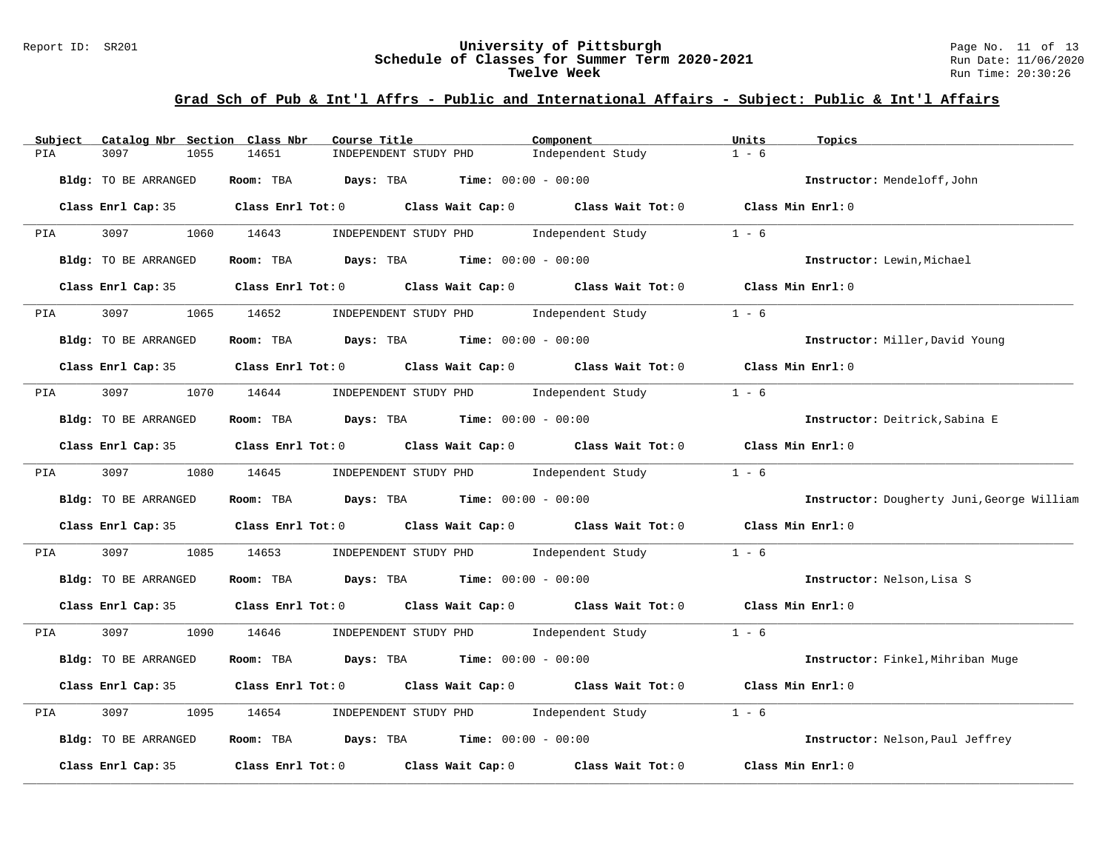#### Report ID: SR201 **University of Pittsburgh** Page No. 11 of 13 **Schedule of Classes for Summer Term 2020-2021** Run Date: 11/06/2020 **Twelve Week** Run Time: 20:30:26

| Subject            | Catalog Nbr Section Class Nbr |            | Course Title                                         | Component                                                                                                                                                                                                                     | Units             | Topics                                     |
|--------------------|-------------------------------|------------|------------------------------------------------------|-------------------------------------------------------------------------------------------------------------------------------------------------------------------------------------------------------------------------------|-------------------|--------------------------------------------|
| PIA<br>3097        | 1055                          | 14651      | INDEPENDENT STUDY PHD                                | Independent Study                                                                                                                                                                                                             | $1 - 6$           |                                            |
|                    | Bldg: TO BE ARRANGED          | Room: TBA  | <b>Days:</b> TBA <b>Time:</b> $00:00 - 00:00$        |                                                                                                                                                                                                                               |                   | Instructor: Mendeloff, John                |
|                    |                               |            |                                                      | Class Enrl Cap: 35 Class Enrl Tot: 0 Class Wait Cap: 0 Class Wait Tot: 0 Class Min Enrl: 0                                                                                                                                    |                   |                                            |
| PIA                | 3097 300                      | 1060 14643 | INDEPENDENT STUDY PHD Independent Study              |                                                                                                                                                                                                                               | $1 - 6$           |                                            |
|                    | Bldg: TO BE ARRANGED          | Room: TBA  | $\texttt{Davis:}$ TBA $\texttt{Time:}$ 00:00 - 00:00 |                                                                                                                                                                                                                               |                   | Instructor: Lewin, Michael                 |
|                    | Class Enrl Cap: 35            |            |                                                      | Class Enrl Tot: $0$ Class Wait Cap: $0$ Class Wait Tot: $0$                                                                                                                                                                   | Class Min Enrl: 0 |                                            |
| 3097<br><b>PIA</b> |                               | 1065 14652 | INDEPENDENT STUDY PHD Independent Study              |                                                                                                                                                                                                                               | $1 - 6$           |                                            |
|                    | Bldg: TO BE ARRANGED          |            | Room: TBA $Days:$ TBA $Time: 00:00 - 00:00$          |                                                                                                                                                                                                                               |                   | Instructor: Miller, David Young            |
|                    |                               |            |                                                      | Class Enrl Cap: 35 Class Enrl Tot: 0 Class Wait Cap: 0 Class Wait Tot: 0 Class Min Enrl: 0                                                                                                                                    |                   |                                            |
| PIA                | 3097                          | 1070 14644 |                                                      | INDEPENDENT STUDY PHD Independent Study                                                                                                                                                                                       | $1 - 6$           |                                            |
|                    | Bldg: TO BE ARRANGED          |            | Room: TBA $Days:$ TBA Time: $00:00 - 00:00$          |                                                                                                                                                                                                                               |                   | Instructor: Deitrick, Sabina E             |
|                    | Class Enrl Cap: 35            |            |                                                      | Class Enrl Tot: 0 Class Wait Cap: 0 Class Wait Tot: 0                                                                                                                                                                         | Class Min Enrl: 0 |                                            |
| <b>PIA</b>         | 3097                          | 1080 14645 |                                                      | INDEPENDENT STUDY PHD Independent Study                                                                                                                                                                                       | $1 - 6$           |                                            |
|                    | Bldg: TO BE ARRANGED          |            | Room: TBA $Days:$ TBA $Time: 00:00 - 00:00$          |                                                                                                                                                                                                                               |                   | Instructor: Dougherty Juni, George William |
|                    |                               |            |                                                      | Class Enrl Cap: 35 $\,$ Class Enrl Tot: 0 $\,$ Class Wait Cap: 0 $\,$ Class Wait Tot: 0 $\,$ Class Enrl Tot: 0 $\,$ Class Enrl Tot: 0 $\,$ Class Enrl Tot: 0 $\,$ Class Enrl Tot: 0 $\,$ Class Enrl Tot: 0 $\,$ Class Enrl To | Class Min Enrl: 0 |                                            |
| PIA<br>3097        | 1085                          | 14653      |                                                      | INDEPENDENT STUDY PHD Independent Study                                                                                                                                                                                       | $1 - 6$           |                                            |
|                    | Bldg: TO BE ARRANGED          |            | Room: TBA $Days:$ TBA $Time: 00:00 - 00:00$          |                                                                                                                                                                                                                               |                   | Instructor: Nelson, Lisa S                 |
|                    | Class Enrl Cap: 35            |            |                                                      | Class Enrl Tot: 0 Class Wait Cap: 0 Class Wait Tot: 0 Class Min Enrl: 0                                                                                                                                                       |                   |                                            |
| PIA                | 3097                          | 1090 14646 | INDEPENDENT STUDY PHD Independent Study              |                                                                                                                                                                                                                               | $1 - 6$           |                                            |
|                    | Bldg: TO BE ARRANGED          |            | Room: TBA $Days:$ TBA $Time: 00:00 - 00:00$          |                                                                                                                                                                                                                               |                   | Instructor: Finkel, Mihriban Muge          |
|                    | Class Enrl Cap: 35            |            |                                                      | Class Enrl Tot: 0 Class Wait Cap: 0 Class Wait Tot: 0                                                                                                                                                                         | Class Min Enrl: 0 |                                            |
| 3097<br>PIA        | 1095                          | 14654      | INDEPENDENT STUDY PHD                                | Independent Study                                                                                                                                                                                                             | $1 - 6$           |                                            |
|                    | Bldg: TO BE ARRANGED          |            | Room: TBA $Days:$ TBA $Time: 00:00 - 00:00$          |                                                                                                                                                                                                                               |                   | Instructor: Nelson, Paul Jeffrey           |
|                    | Class Enrl Cap: 35            |            | Class Enrl Tot: $0$ Class Wait Cap: $0$              | Class Wait Tot: 0                                                                                                                                                                                                             | Class Min Enrl: 0 |                                            |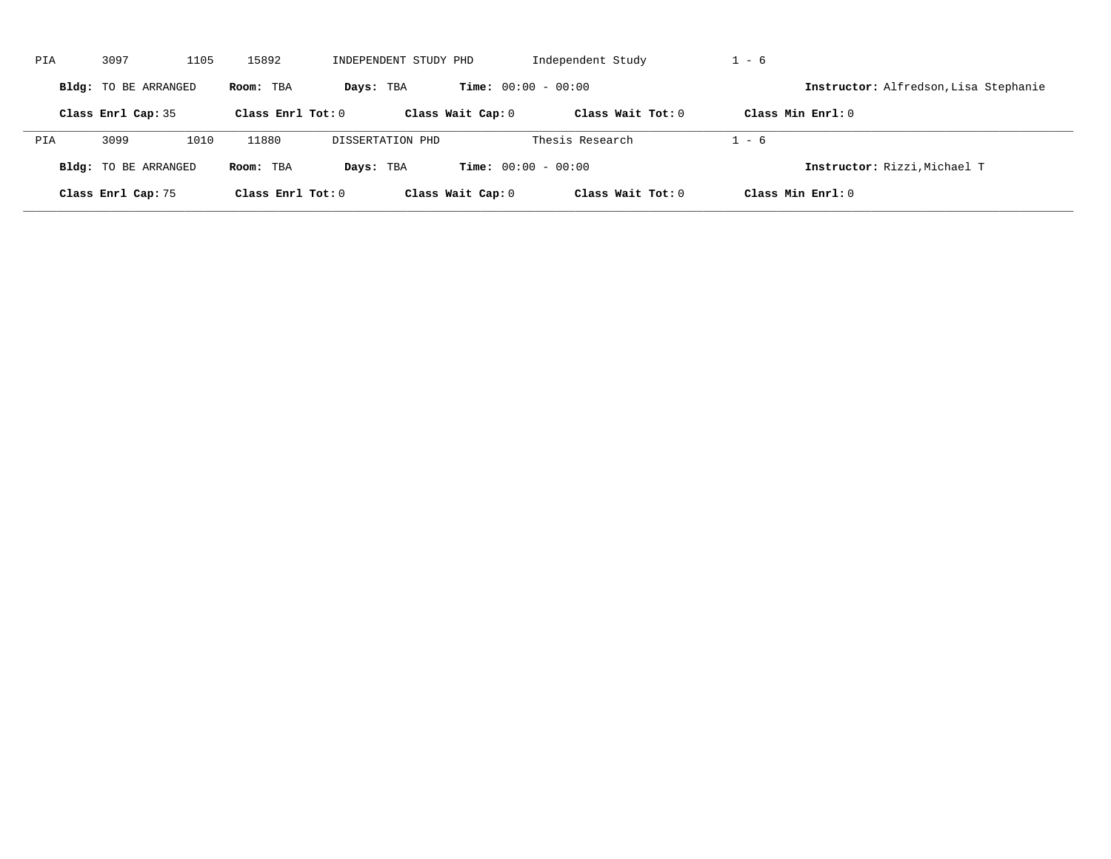| PIA | 3097                 | 1105 | 15892               | INDEPENDENT STUDY PHD |                              | Independent Study   | $1 - 6$                               |
|-----|----------------------|------|---------------------|-----------------------|------------------------------|---------------------|---------------------------------------|
|     | Bldg: TO BE ARRANGED |      | Room: TBA           | Days: TBA             | <b>Time:</b> $00:00 - 00:00$ |                     | Instructor: Alfredson, Lisa Stephanie |
|     | Class Enrl Cap: 35   |      | Class Enrl Tot: $0$ |                       | Class Wait Cap: 0            | Class Wait $Tot: 0$ | Class Min $Enrl: 0$                   |
| PIA | 3099                 | 1010 | 11880               | DISSERTATION PHD      |                              | Thesis Research     | $1 - 6$                               |
|     | Bldg: TO BE ARRANGED |      | Room: TBA           | Days: TBA             | <b>Time:</b> $00:00 - 00:00$ |                     | Instructor: Rizzi, Michael T          |
|     | Class Enrl Cap: 75   |      | Class Enrl Tot: 0   |                       | Class Wait Cap: 0            | Class Wait $Tot: 0$ | Class Min $Enrl: 0$                   |